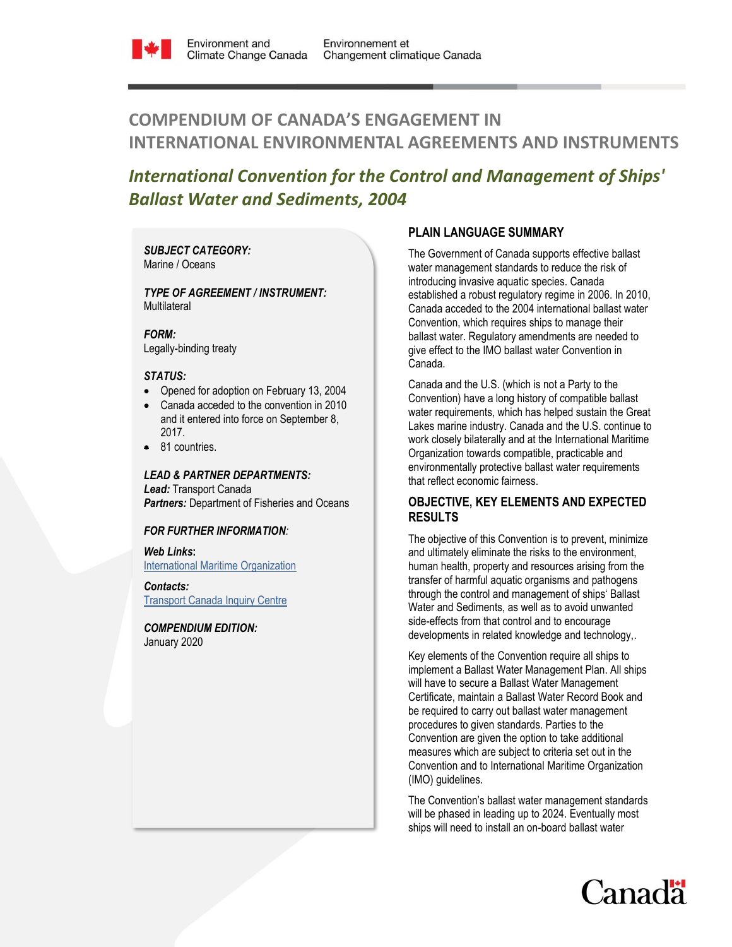

# **COMPENDIUM OF CANADA'S ENGAGEMENT IN INTERNATIONAL ENVIRONMENTAL AGREEMENTS AND INSTRUMENTS**

# *International Convention for the Control and Management of Ships' Ballast Water and Sediments, 2004*

*SUBJECT CATEGORY:*  Marine / Oceans

*TYPE OF AGREEMENT / INSTRUMENT:*  **Multilateral** 

*FORM:* Legally-binding treaty

## *STATUS:*

- Opened for adoption on February 13, 2004
- Canada acceded to the convention in 2010 and it entered into force on September 8, 2017.
- 81 countries.

## *LEAD & PARTNER DEPARTMENTS:*

*Lead:* Transport Canada *Partners:* Department of Fisheries and Oceans

## *FOR FURTHER INFORMATION:*

*Web Links***:** [International Maritime Organization](http://www.imo.org/OurWork/Pages/Home.aspx)

*Contacts:* **[Transport Canada](https://www.tc.gc.ca/eng/contact-us.htm) Inquiry Centre** 

*COMPENDIUM EDITION:* 

January 2020

## **PLAIN LANGUAGE SUMMARY**

The Government of Canada supports effective ballast water management standards to reduce the risk of introducing invasive aquatic species. Canada established a robust regulatory regime in 2006. In 2010, Canada acceded to the 2004 international ballast water Convention, which requires ships to manage their ballast water. Regulatory amendments are needed to give effect to the IMO ballast water Convention in Canada.

Canada and the U.S. (which is not a Party to the Convention) have a long history of compatible ballast water requirements, which has helped sustain the Great Lakes marine industry. Canada and the U.S. continue to work closely bilaterally and at the International Maritime Organization towards compatible, practicable and environmentally protective ballast water requirements that reflect economic fairness.

## **OBJECTIVE, KEY ELEMENTS AND EXPECTED RESULTS**

The objective of this Convention is to prevent, minimize and ultimately eliminate the risks to the environment, human health, property and resources arising from the transfer of harmful aquatic organisms and pathogens through the control and management of ships' Ballast Water and Sediments, as well as to avoid unwanted side-effects from that control and to encourage developments in related knowledge and technology,.

Key elements of the Convention require all ships to implement a Ballast Water Management Plan. All ships will have to secure a Ballast Water Management Certificate, maintain a Ballast Water Record Book and be required to carry out ballast water management procedures to given standards. Parties to the Convention are given the option to take additional measures which are subject to criteria set out in the Convention and to International Maritime Organization (IMO) guidelines.

The Convention's ballast water management standards will be phased in leading up to 2024. Eventually most ships will need to install an on-board ballast water